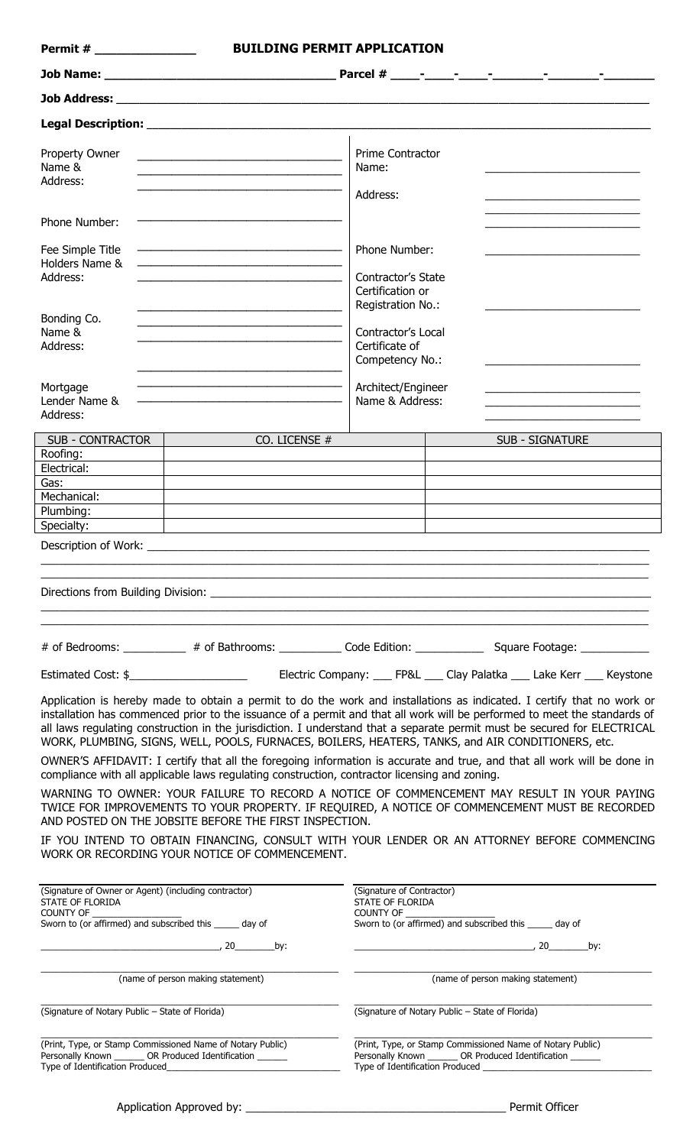| <b>Permit #</b> 2009 2009                                                                                                                           | <b>BUILDING PERMIT APPLICATION</b>                                                                                        |                                                                                                                                                       |                                                                                                                                                                                                                                                                                                                                                                                                                                                                                                                                                                                                                 |  |  |  |  |  |
|-----------------------------------------------------------------------------------------------------------------------------------------------------|---------------------------------------------------------------------------------------------------------------------------|-------------------------------------------------------------------------------------------------------------------------------------------------------|-----------------------------------------------------------------------------------------------------------------------------------------------------------------------------------------------------------------------------------------------------------------------------------------------------------------------------------------------------------------------------------------------------------------------------------------------------------------------------------------------------------------------------------------------------------------------------------------------------------------|--|--|--|--|--|
|                                                                                                                                                     |                                                                                                                           |                                                                                                                                                       |                                                                                                                                                                                                                                                                                                                                                                                                                                                                                                                                                                                                                 |  |  |  |  |  |
|                                                                                                                                                     |                                                                                                                           |                                                                                                                                                       |                                                                                                                                                                                                                                                                                                                                                                                                                                                                                                                                                                                                                 |  |  |  |  |  |
|                                                                                                                                                     |                                                                                                                           |                                                                                                                                                       |                                                                                                                                                                                                                                                                                                                                                                                                                                                                                                                                                                                                                 |  |  |  |  |  |
| Property Owner<br>Name &<br>Address:                                                                                                                | <u> 1989 - Johann Barbara, martxa alemaniar a</u>                                                                         | <b>Prime Contractor</b><br>Name:<br>Address:                                                                                                          |                                                                                                                                                                                                                                                                                                                                                                                                                                                                                                                                                                                                                 |  |  |  |  |  |
| Phone Number:                                                                                                                                       |                                                                                                                           |                                                                                                                                                       |                                                                                                                                                                                                                                                                                                                                                                                                                                                                                                                                                                                                                 |  |  |  |  |  |
| Fee Simple Title<br>Holders Name &                                                                                                                  |                                                                                                                           | Phone Number:                                                                                                                                         |                                                                                                                                                                                                                                                                                                                                                                                                                                                                                                                                                                                                                 |  |  |  |  |  |
| Address:                                                                                                                                            |                                                                                                                           | Contractor's State<br>Certification or<br>Registration No.:                                                                                           |                                                                                                                                                                                                                                                                                                                                                                                                                                                                                                                                                                                                                 |  |  |  |  |  |
| Bonding Co.<br>Name &<br>Address:                                                                                                                   |                                                                                                                           | Contractor's Local<br>Certificate of<br>Competency No.:                                                                                               |                                                                                                                                                                                                                                                                                                                                                                                                                                                                                                                                                                                                                 |  |  |  |  |  |
| Mortgage<br>Lender Name &<br>Address:                                                                                                               |                                                                                                                           | Architect/Engineer<br>Name & Address:                                                                                                                 |                                                                                                                                                                                                                                                                                                                                                                                                                                                                                                                                                                                                                 |  |  |  |  |  |
| <b>SUB - CONTRACTOR</b>                                                                                                                             | CO. LICENSE #                                                                                                             |                                                                                                                                                       | <b>SUB - SIGNATURE</b>                                                                                                                                                                                                                                                                                                                                                                                                                                                                                                                                                                                          |  |  |  |  |  |
| Roofing:                                                                                                                                            |                                                                                                                           |                                                                                                                                                       |                                                                                                                                                                                                                                                                                                                                                                                                                                                                                                                                                                                                                 |  |  |  |  |  |
| Electrical:                                                                                                                                         |                                                                                                                           |                                                                                                                                                       |                                                                                                                                                                                                                                                                                                                                                                                                                                                                                                                                                                                                                 |  |  |  |  |  |
| Gas:<br>Mechanical:                                                                                                                                 |                                                                                                                           |                                                                                                                                                       |                                                                                                                                                                                                                                                                                                                                                                                                                                                                                                                                                                                                                 |  |  |  |  |  |
| Plumbing:                                                                                                                                           |                                                                                                                           |                                                                                                                                                       |                                                                                                                                                                                                                                                                                                                                                                                                                                                                                                                                                                                                                 |  |  |  |  |  |
| Specialty:                                                                                                                                          |                                                                                                                           |                                                                                                                                                       |                                                                                                                                                                                                                                                                                                                                                                                                                                                                                                                                                                                                                 |  |  |  |  |  |
|                                                                                                                                                     |                                                                                                                           |                                                                                                                                                       |                                                                                                                                                                                                                                                                                                                                                                                                                                                                                                                                                                                                                 |  |  |  |  |  |
|                                                                                                                                                     |                                                                                                                           |                                                                                                                                                       | # of Bedrooms: __________ # of Bathrooms: ____________ Code Edition: ____________ Square Footage: ___________                                                                                                                                                                                                                                                                                                                                                                                                                                                                                                   |  |  |  |  |  |
|                                                                                                                                                     |                                                                                                                           |                                                                                                                                                       |                                                                                                                                                                                                                                                                                                                                                                                                                                                                                                                                                                                                                 |  |  |  |  |  |
|                                                                                                                                                     | compliance with all applicable laws regulating construction, contractor licensing and zoning.                             |                                                                                                                                                       | Application is hereby made to obtain a permit to do the work and installations as indicated. I certify that no work or<br>installation has commenced prior to the issuance of a permit and that all work will be performed to meet the standards of<br>all laws regulating construction in the jurisdiction. I understand that a separate permit must be secured for ELECTRICAL<br>WORK, PLUMBING, SIGNS, WELL, POOLS, FURNACES, BOILERS, HEATERS, TANKS, and AIR CONDITIONERS, etc.<br>OWNER'S AFFIDAVIT: I certify that all the foregoing information is accurate and true, and that all work will be done in |  |  |  |  |  |
|                                                                                                                                                     | AND POSTED ON THE JOBSITE BEFORE THE FIRST INSPECTION.                                                                    |                                                                                                                                                       | WARNING TO OWNER: YOUR FAILURE TO RECORD A NOTICE OF COMMENCEMENT MAY RESULT IN YOUR PAYING<br>TWICE FOR IMPROVEMENTS TO YOUR PROPERTY. IF REQUIRED, A NOTICE OF COMMENCEMENT MUST BE RECORDED                                                                                                                                                                                                                                                                                                                                                                                                                  |  |  |  |  |  |
|                                                                                                                                                     | WORK OR RECORDING YOUR NOTICE OF COMMENCEMENT.                                                                            |                                                                                                                                                       | IF YOU INTEND TO OBTAIN FINANCING, CONSULT WITH YOUR LENDER OR AN ATTORNEY BEFORE COMMENCING                                                                                                                                                                                                                                                                                                                                                                                                                                                                                                                    |  |  |  |  |  |
| (Signature of Owner or Agent) (including contractor)<br>STATE OF FLORIDA<br>COUNTY OF _<br>Sworn to (or affirmed) and subscribed this ______ day of |                                                                                                                           | (Signature of Contractor)<br>STATE OF FLORIDA<br>COUNTY OF<br>Sworn to (or affirmed) and subscribed this ______ day of                                |                                                                                                                                                                                                                                                                                                                                                                                                                                                                                                                                                                                                                 |  |  |  |  |  |
|                                                                                                                                                     | $\sim$ 20 by:                                                                                                             |                                                                                                                                                       | $\overline{\phantom{a}}$ , 20 by:                                                                                                                                                                                                                                                                                                                                                                                                                                                                                                                                                                               |  |  |  |  |  |
|                                                                                                                                                     | (name of person making statement)                                                                                         | (name of person making statement)                                                                                                                     |                                                                                                                                                                                                                                                                                                                                                                                                                                                                                                                                                                                                                 |  |  |  |  |  |
| (Signature of Notary Public - State of Florida)                                                                                                     |                                                                                                                           | (Signature of Notary Public - State of Florida)                                                                                                       |                                                                                                                                                                                                                                                                                                                                                                                                                                                                                                                                                                                                                 |  |  |  |  |  |
| Type of Identification Produced                                                                                                                     | (Print, Type, or Stamp Commissioned Name of Notary Public)<br>Personally Known _______ OR Produced Identification _______ | (Print, Type, or Stamp Commissioned Name of Notary Public)<br>Personally Known ________ OR Produced Identification<br>Type of Identification Produced |                                                                                                                                                                                                                                                                                                                                                                                                                                                                                                                                                                                                                 |  |  |  |  |  |

| Application Approved by: | Permit Officer |
|--------------------------|----------------|
|                          |                |